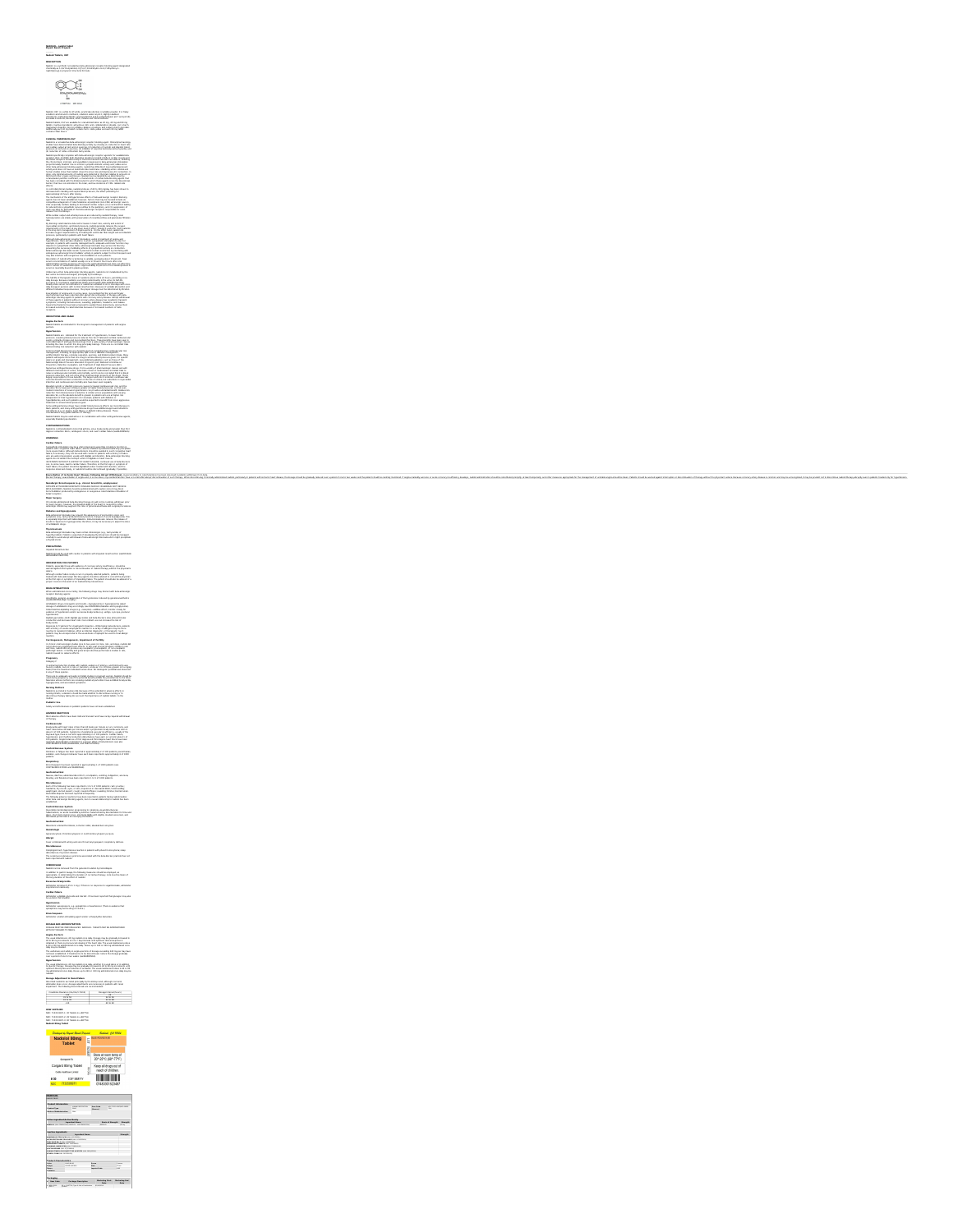**NADOLOL- nadolol tablet Bryant Ranch Prepack** ---------- **Nadolol Tablets, USP DESCRIPTION** Nadolol is a synthetic nonselective beta-adrenergic receptor blocking agentdesignated chemically as1-(tert-butylamino)-3-[(5,6,7,8-tetrahydro-cis-6,7-dihydroxy-1- naphthyl)oxy]-2-propanol. Structural formula:

 $\begin{picture}(180,10) \put(0,0){\line(1,0){10}} \put(10,0){\line(1,0){10}} \put(10,0){\line(1,0){10}} \put(10,0){\line(1,0){10}} \put(10,0){\line(1,0){10}} \put(10,0){\line(1,0){10}} \put(10,0){\line(1,0){10}} \put(10,0){\line(1,0){10}} \put(10,0){\line(1,0){10}} \put(10,0){\line(1,0){10}} \put(10,0){\line(1,0){10}} \put(10,0){\line($ 

irackálát is azokony, harvanny, elfrár, hintonu and trá hintonultúrus.<br>Katolickálásha, útók ara azoklást korola and alatokálást azok 2000 azok azoklást napja alatok 1943.<br>háború, hozskoz kipunkénik, arbýchran király arak,

Kanisto), USP- is a nahita to sell sahita, praetisally soloriess, crystallese perastier. It is freely<br>soloitie in admited and in methods ( sadalite in mater at pH 2, shiphly soloit).<br>chiameterm, methodsmenhistoly, isoerono

Cultural de PoddimiacCist.Co2H<br>Kashisti ka normale istratorista automorph resuptor biosking agent. Ciritoskytommarskogy<br>artistisch have demonstrated keskabistisch granivlijvlijv showing (2) restarista in have frater<br>and ca

 $\frac{1}{2}$  containing the set of the second containing above the property containing a state of the second containing the second containing the second containing the second containing the second containing the second conta dopy, uniq relatesi armunits of teadrals aren'ni destruire in the lacity relation to armistry.<br>Identification are argums and teachers. Academic has been depoinding as administrational projection.<br>And analyzed representatio

effects.<br>In controlled clinical studies, nadolol at doses of 40 to 320 mg/day has been shown to decrease both standing<br>decrease befit standing and supine blood pressure, the effect persisting for

approximately the trace of strength and the second term in the procedure of the second term of the second term<br>and the second term in the second state of the second term in the second term in the second term in<br>the second

naquinamanis, of the heart at any given least of effect, making it voels for many patients.<br>In the long larm management of anging periods. On the still without hand, natistically<br>Introduce organizer requirements be increas pomocov, particularly in positions with handed data.<br>Although Janka adverage compatibility in andeline books in a second in any low and Particular in the state of<br>hypothesis in , there are also shown in the state represent

endogenous adrenergic bronchodilator activity in patients subject to bronchospasm and may also interfere with exogenous bronchodilators in such patients. Absorption of nadolol after oral dosing is variable, averaging about30 percent. Peak serum concentrations of nadolol usually occur in three to fourhours after oral administration and the presence of food in the gastrointestinal tract does not affect the rate or extent of nadolol absorption. Approximately 30 percent of the nadolol present in serum is reversibly bound to plasma protein. Unlike many other beta-adrenergic blocking agents,nadolol is not metabolized by the liver and isexcreted unchanged, principally by the kidneys. The half-life of therapeutic doses ofnadolol is about 20 to 24 hours,permitting once- daily dosage. Because nadololis excreted predominantly in the urine,its half-life increases in renal failure (seePRECAUTIONS and DOSAGE AND ADMINISTRATION). Steady-state serum concentrations of nadolol are attained in six to nine days with once-daily dosage in persons with normalrenal function. Because of variable absorption and different individual responsiveness, the proper dosage must be determined by titration. Exacerbation of angina and, in some cases,myocardial infarction and ventricular

арабурганда Балак Баратары баш айыл аймагы баруу айыл ай оюнчу айылда.<br>14 Тарах Аррека Карабанга айылган кана баш айылган башка башкан башкан.<br>14 Тарах Аррека Карабанга айылган каналар айыр башкан башкан башкана башкан.<br>К

increased sensitivity to catecholamines because of increased numbers of beta receptors. **INDICATIONS AND USAGE Angina Pectoris** Nadolol tablets are indicated for the long-term managementof patients with angina pectoris. **Hypertension** Nadolol tablets are indicated for the treatment of hypertension, to lower blood pressure. Lowering blood pressure reduces the risk of fatal and nonfatal cardiovascular events, primarily strokes and myocardial infarctions. These benefits have been seen in controlled trials of antihypertensive drugs from a wide variety of pharmacologic classes including the class to which this drug principally belongs. There are no controlled trials

domometrating that resistrian with numbers<br>Contest of high historic protocore should be part of comprehensive continuum size this<br>and/agenesis, including, as appropriate, light motive, dailettes management.<br>and/artic sill

advice on goals and management, see published guidelines, such asthose of the National High Blood Pressure Education Program's Joint National Committee on Prevention, Detection, Evaluation, and Treatment of High Blood Pressure (JNC). Numerous antihypertensive drugs,from a varietyof pharmacologic classes and with different mechanisms of action, have been shown in randomized controlled trials to reduce cardiovascular morbidity and mortality, and it can be concluded that itis blood pressure reduction, and not some otherpharmacologic property of the drugs,that is largely responsible for those benefits. The largest and mostconsistent cardiovascular outcome benefit has been a reduction in the risk ofstroke, but reductions in myocardial infarction and cardiovascular mortality also have been seen regularly. Elevated systolic or diastolic pressure causes increased cardiovascular risk, and the absolute risk increase per mmHg isgreater at higher blood pressures, so thateven modest reductions of severe hypertension can provide substantial benefit. Relative risk reduction from blood pressure reduction issimilar across populations with varying absolute risk, so the absolute benefit is greater in patients who are at higher risk independent of their hypertension (for example, patients with diabetes orhyperlipidemia), and such patients would be expected to benefit from more aggressive treatment to a lower blood pressure goal. Some antihypertensive drugs have smaller blood pressure effects (as monotherapy) in black patients, and many antihypertensive drugs have additional approved indications and effects (e.g.on angina,heart failure, or diabetic kidney disease). These considerations may guide selection of therapy. Nadolol tablets may be used alone or in combination with otherantihypertensive agents, especially thiazide-type diuretics. **CONTRAINDICATIONS**

Nadolol is contraindicated in bronchial asthma, sinus bradycardia and greater than first degree conduction block,cardiogenic shock, and overtcardiac failure (seeWARNINGS). **WARNINGS Cardiac Failure** Sympathetic stimulation may be a vital component supporting circulatory function in patients with congestive heartfailure, and itsinhibition by beta-blockade may precipitate more severe failure. Although beta-blockers should be avoided in overtcongestive heart failure, if necessary, they can be used with caution in patients with a history of failure who are well-compensated, usually with digitalis and diuretics. Beta-adrenergic blocking agents do not abolish the inotropic action of digitalis on heartmuscle. IN PATIENTS WITHOUT A HISTORY OF HEART FAILURE, continued use ofbeta-blockers can, in some cases,lead to cardiac failure. Therefore, at the first sign or symptom of heart failure, the patient should be digitalized and/or treated with diuretics, and the response observed closely,or nadolol should be discontinued (gradually, if possible).

**Exacerbation of Ischemic Heart Disease Following Abrupt Withdrawal**—Hypersensitivity to catecholamines has been observed in patients withdrawn from beta- blocker therapy; exacerbation of angina and, in some cases,myocardial infarction have occurred afterabrupt discontinuation of such therapy. When discontinuing chronically administered nadolol, particularly in patients with ischemic heart disease, the dosage should be gradually reduced overa period of one to two weeks and the patient should be carefully monitored. If angina markedly worsens oracute coronary insufficiency develops, nadolol administration should be reinstituted promptly, at least temporarily, and other measures appropriate for the management of unstable angina should be taken.Patients should be warned against interruption or discontinuation of therapy without the physician's advice. Because coronary artery disease iscommon and may be unrecognized, it may be prudent not to discontinue nadololtherapy abruptly even in patients treated only for hypertension. **Nonallergic Bronchospasm (e.g., chronic bronchitis, emphysema)** PATIENTS WITH BRONCHOSPASTIC DISEASES SHOULD IN GENERAL NOT RECEIVE BETA-BLOCKERS. Nadolol should be administered with caution since it may block bronchodilation produced by endogenous orexogenous catecholamine stimulation of beta2 receptors. **Major Surgery** Chronically administered beta-blocking therapy should not be routinely withdrawn prior to major surgery; however, the impaired ability of the heart to respond to reflex adrenergic stimuli may augment the risks of general anesthesia and surgicalprocedures. **Diabetes and Hypoglycemia**

ilinta attirorumja inisukasis mag pravami tira appuanarum of pramunikary higna, mot<br>kympiorma (ing., kankyounida and kisosi pramasara champes) of acude hypoglycemia. This<br>inapportati in magnetica solis kisko dalaminu. Kata

Thyredonionsh<br>Intantiversity historic may must cortain sintatique (e.g., tastycoria)<br>typority mission. Palamin suspected of developing thyrelexican's should be managed<br>cortain in amid alreat withdrawal of lasta advenople b

**PRECAUTIONS<br>Isopaired Renal Function**<br>Isobald should be used with saution in patients with impaired renal function (seeDOSAGE<br>ANDADMINISTRATION).

aar Carana (kan ka ka ka ka ka ka marang sang pang pang lang dan sa ka sa ka sa karana).<br>Malaysia ng pang lang ka sa ka sa ka sa karana ng pang lang sa pang pang sa kata bag pang lang sa ka-sa sa ka<br>Malaysia ng pang lang k

giant de Maria Constant<br>1990 - Antonio Gardinaldo II (n. 1930)<br>1990 - Antonio Gardinaldo II (n. 1930)<br>1990 - Antonio Gardinaldo II (n. 1930)<br>1990 - Antonio Gardinaldo II (n. 1930)<br>1990 - Antonio Gardinaldo II (n. 1930)<br>19

with a history of severe anaphylactic reaction to a variety of allergens may be more.<br>reaction to repeated challenge, either accidental, diagnostic, or therapeutic. Such reaction.<br>reaction.

patients may be unresponsive to the usual doses of epinephrine used to treatallergic **Carcinogenesis, Mutagenesis, Impairment of Fertility** In chronic oral toxicologic studies (one to two years) in mice, rats, and dogs,nadolol did not produce any significant toxic effects. In two-year oral carcinogenic studies in rats and mice, nadolol did not produce any neoplastic, preneoplastic, or non-neoplastic pathologic lesions. In fertility and generalreproductive performance studies in rats, nadolol caused no adverse effects. **Pregnancy** Category C In animal reproduction studies with nadolol,evidence of embryo- and fetotoxicity was in any ofthese species.

Look (and selected that all the state and selected that the first particular interaction of the state of the state of the state of the state of the state of the state of the state of the state of the state of the state of

**Pediatric Use** Safety and effectiveness in pediatric patients have not been established.

abbettu alan kerkoa.<br>1946 - Andrea Andrea de Amerika eta Andrea den arte hartzen eta eta ezkin ezkin ezkin ezki<br>1948 - Andrea Andrea de Amerika eta Andrea de Amerika eta Andrea eta Andrea eta Andrea Andrea<br>1948 - Andrea de

Central Barrows Rydom<br>Districts of Edges Into James regarded in approximately 2 of 200 potterior presentation,<br>Districts, and champs in Intonials State and have reported in approximately 8 of 2000<br>Barrowskins - Into James

Generalistica del miso del miso de contrato, completivo, combina del miso del miso del miso del miso del miso<br>Ancora del miso del miso del miso del miso del miso del miso del miso del miso del miso del miso del miso del<br>Mi

**Central Nervous System**<br>Reversible mental depression progressing to catatonia; visual disturbances;<br>John John Henri mental systematic symbolic or neuropsychometrics.<br>plus, showing and performance on neuropsychometrics.<br>de

hallucinations; an acute reversible syndrome characterized by disorientation for time and place, short-term memoryloss, emotional lability with slightly clouded sensorium, and **Gastrointestinal** Mesenteric arterial thrombosis; ischemic colitis; elevated liverenzymes. **Hematologic** Agranulocytosis; thrombocytopenic or nonthrombocytopenic purpura. **Allergic** Fever combined with aching and sore throat;laryngospasm; respiratory distress. **Miscellaneous** Pemphigoid rash; hypertensive reaction in patients with pheochromocytoma; sleep disturbances; Peyronie's disease. The oculomucocutaneous syndrome associated with the beta-blocker practolol has notbeen reported with nadolol.**OVERDOSAGE** Nadolol can be removed from the generalcirculation by hemodialysis. In addition to gastric lavage, the following measures should be employed, as appropriate. In determining the duration of corrective therapy, note must be taken of the long duration of the effect of nadolol. **Excessive Bradycardia** Administer atropine (0.25 to 1 mg).If there isno response to vagalblockade, administer isoproterenol cautiously. **Cardiac Failure** Administer a digitalis glycoside and diuretic. It has been reported that glucagon may also be useful in this situation. **Hypotension** Administer vasopressors, e.g. epinephrine or levarterenol. (There isevidence thatepinephrine may be the drug of choice.) **Bronchospasm** Administer a beta2-stimulating agentand/or a theophylline derivative. **DOSAGE AND ADMINISTRATION** DOSAGE MUST BE INDIVIDUALIZED. NADOLOL TABLETS MAY BE ADMINISTERED WITHOUT REGARD TO MEALS.**Angina Pectoris** The usual initial dose is40 mg nadololonce daily. Dosage may be gradually increased in

<sup>40</sup> to <sup>80</sup> mg increments at3 to <sup>7</sup> day intervals until optimum clinical response isobtained or there ispronounced slowing of the heartrate. The usual maintenance dose is 40 or 80 mg administered once daily.Doses up to 160 or 240 mg administered once daily may be needed. The usefulness and safety in angina pectoris of dosage exceeding 240 mg per day have not been established. If treatment is to be discontinued, reduce the dosage gradually over a period of one to two weeks (seeWARNINGS). **Hypertension** The usual initial dose is40 mg nadololonce daily, whether it is used alone or in addition to diuretic therapy. Dosage may be gradually increased in <sup>40</sup> to <sup>80</sup> mg increments untiloptimum blood pressure reduction isachieved. The usual maintenance dose is40 or <sup>80</sup> mg administered once daily. Doses up to 240 or 320 mg administered once daily may be needed. **Dosage Adjustment in Renal Failure** Absorbed nadololis excreted principally by the kidneys and,although nonrenalelimination does occur, dosage adjustments are necessary in patients with renal impairment. The following dose intervals are recommended:

Creatinine Clearance (mL/min/1.73m2) Dosage Interval(hours) >50 24 31 to 50 24 to 36 10 to 30 24 to 48 <10 40 to 60 **HOW SUPPLIED** NDC: 71335-0697-1: 30 Tablets in a BOTTLE NDC: 71335-0697-2: 28 Tablets in a BOTTLE NDC: 71335-0697-3: 90 Tablets in a BOTTLE **Nadolol 80mg Tablet**

**NADOLOL Product Information Item Code (Source)** NDC:71335-0697(NDC:68382- 734)

**Product Type** HUMAN PRESCRIPTION DRUG **Route of Administration** ORAL **Active Ingredient/Active Moiety Ingredient Name Basis of Strength Strength NADOLOL** (UNII:FEN504330V) (NADOLOL - UNII:FEN504330V) NADOLOL 80 mg **Inactive Ingredients Ingredient Name Strength ANHYDROUS CITRIC ACID** (UNII: XF417D3PSL) **MICROCRYSTALLINE CELLULOSE** (UNII: OP1R32D61U) **FD&C BLUE NO. 2** (UNII: L06K8R7DQK) **MAGNESIUM STEARATE** (UNII: 70097M6I30) **POVIDONE, UNSPECIFIED** (UNII: FZ989GH94E) **SILICON DIOXIDE** (UNII: ETJ7Z6XBU4) **SODIUM STARCH GLYCOLATE TYPE A POTATO** (UNII: 5856J3G2A2) **STARCH, CORN** (UNII: O8232NY3SJ)

**Product Characteristics**<br>Coloradius — Exclusive Shapee Round (ROUND)<br>Shapee Round (ROUND)<br>Codeen Round (ROUND)<br>Codeen Round

ծածայից<br>4 համաձայ - Բանակա Բաստայիաս - Բանակայիասի | Բանակայիաս<br>- Մարդիոն - Մարդիաս - Արտարանի - Մարդիասի | Բանակայիասի